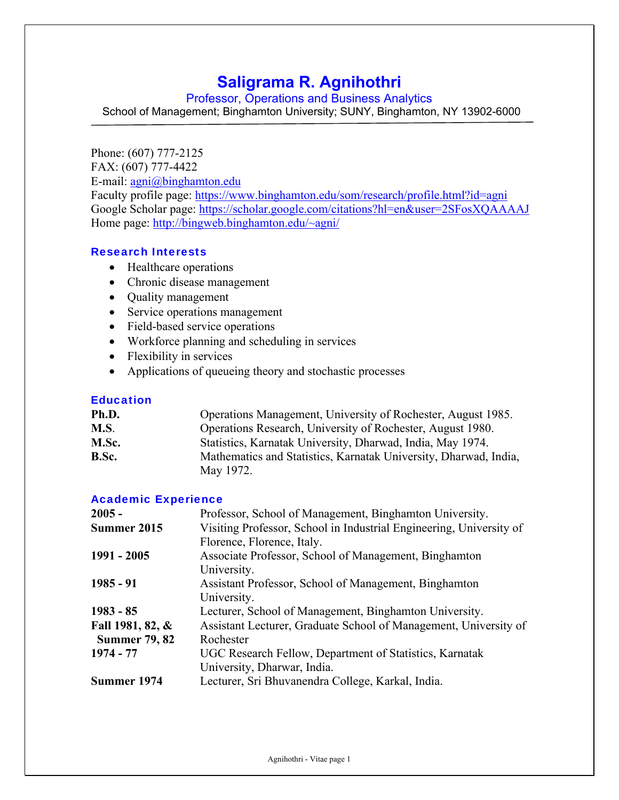# **Saligrama R. Agnihothri**

Professor, Operations and Business Analytics

School of Management; Binghamton University; SUNY, Binghamton, NY 13902-6000

Phone: (607) 777-2125

FAX: (607) 777-4422

E-mail: agni@binghamton.edu

Faculty profile page: https://www.binghamton.edu/som/research/profile.html?id=agni Google Scholar page: https://scholar.google.com/citations?hl=en&user=2SFosXQAAAAJ Home page: http://bingweb.binghamton.edu/~agni/

## Research Interests

- Healthcare operations
- Chronic disease management
- Quality management
- Service operations management
- Field-based service operations
- Workforce planning and scheduling in services
- Flexibility in services
- Applications of queueing theory and stochastic processes

## **Education**

| Ph.D.       | Operations Management, University of Rochester, August 1985.     |
|-------------|------------------------------------------------------------------|
| <b>M.S.</b> | Operations Research, University of Rochester, August 1980.       |
| M.Sc.       | Statistics, Karnatak University, Dharwad, India, May 1974.       |
| B.Sc.       | Mathematics and Statistics, Karnatak University, Dharwad, India, |
|             | May 1972.                                                        |

## Academic Experience

| $2005 -$             | Professor, School of Management, Binghamton University.             |
|----------------------|---------------------------------------------------------------------|
| Summer 2015          | Visiting Professor, School in Industrial Engineering, University of |
|                      | Florence, Florence, Italy.                                          |
| 1991 - 2005          | Associate Professor, School of Management, Binghamton               |
|                      | University.                                                         |
| $1985 - 91$          | Assistant Professor, School of Management, Binghamton               |
|                      | University.                                                         |
| $1983 - 85$          | Lecturer, School of Management, Binghamton University.              |
| Fall 1981, 82, &     | Assistant Lecturer, Graduate School of Management, University of    |
| <b>Summer 79, 82</b> | Rochester                                                           |
| 1974 - 77            | UGC Research Fellow, Department of Statistics, Karnatak             |
|                      | University, Dharwar, India.                                         |
| Summer 1974          | Lecturer, Sri Bhuvanendra College, Karkal, India.                   |
|                      |                                                                     |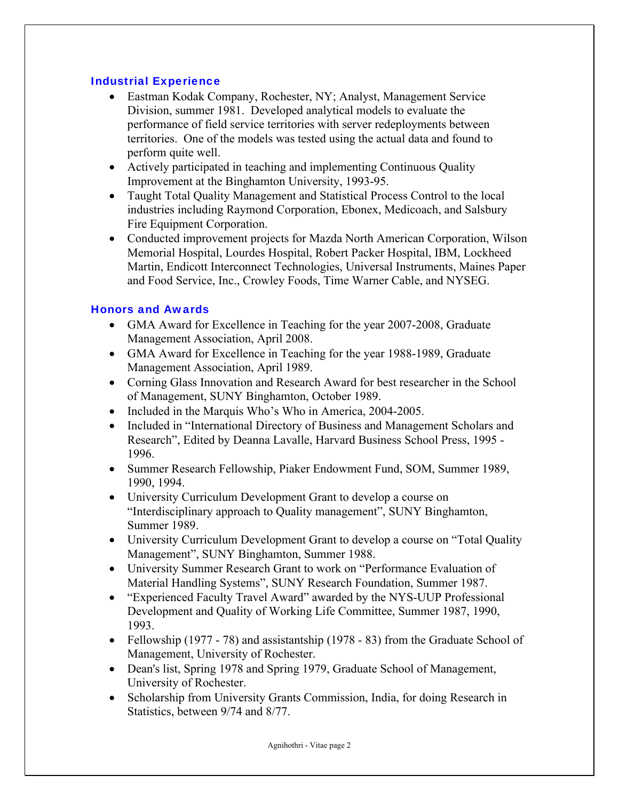## Industrial Experience

- Eastman Kodak Company, Rochester, NY; Analyst, Management Service Division, summer 1981. Developed analytical models to evaluate the performance of field service territories with server redeployments between territories. One of the models was tested using the actual data and found to perform quite well.
- Actively participated in teaching and implementing Continuous Quality Improvement at the Binghamton University, 1993-95.
- Taught Total Quality Management and Statistical Process Control to the local industries including Raymond Corporation, Ebonex, Medicoach, and Salsbury Fire Equipment Corporation.
- Conducted improvement projects for Mazda North American Corporation, Wilson Memorial Hospital, Lourdes Hospital, Robert Packer Hospital, IBM, Lockheed Martin, Endicott Interconnect Technologies, Universal Instruments, Maines Paper and Food Service, Inc., Crowley Foods, Time Warner Cable, and NYSEG.

## Honors and Awards

- GMA Award for Excellence in Teaching for the year 2007-2008, Graduate Management Association, April 2008.
- GMA Award for Excellence in Teaching for the year 1988-1989, Graduate Management Association, April 1989.
- Corning Glass Innovation and Research Award for best researcher in the School of Management, SUNY Binghamton, October 1989.
- Included in the Marquis Who's Who in America, 2004-2005.
- Included in "International Directory of Business and Management Scholars and Research", Edited by Deanna Lavalle, Harvard Business School Press, 1995 - 1996.
- Summer Research Fellowship, Piaker Endowment Fund, SOM, Summer 1989, 1990, 1994.
- University Curriculum Development Grant to develop a course on "Interdisciplinary approach to Quality management", SUNY Binghamton, Summer 1989.
- University Curriculum Development Grant to develop a course on "Total Quality Management", SUNY Binghamton, Summer 1988.
- University Summer Research Grant to work on "Performance Evaluation of Material Handling Systems", SUNY Research Foundation, Summer 1987.
- "Experienced Faculty Travel Award" awarded by the NYS-UUP Professional Development and Quality of Working Life Committee, Summer 1987, 1990, 1993.
- Fellowship (1977 78) and assistantship (1978 83) from the Graduate School of Management, University of Rochester.
- Dean's list, Spring 1978 and Spring 1979, Graduate School of Management, University of Rochester.
- Scholarship from University Grants Commission, India, for doing Research in Statistics, between 9/74 and 8/77.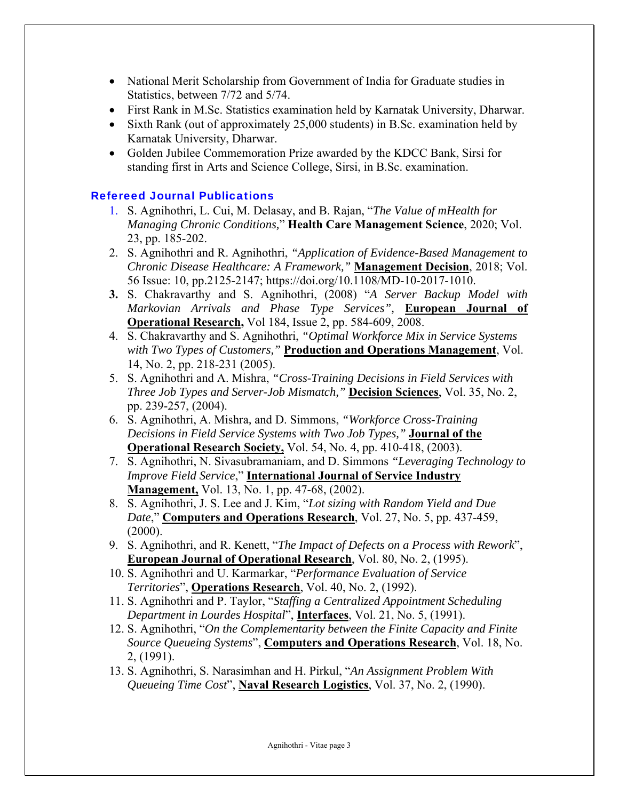- National Merit Scholarship from Government of India for Graduate studies in Statistics, between 7/72 and 5/74.
- First Rank in M.Sc. Statistics examination held by Karnatak University, Dharwar.
- Sixth Rank (out of approximately 25,000 students) in B.Sc. examination held by Karnatak University, Dharwar.
- Golden Jubilee Commemoration Prize awarded by the KDCC Bank, Sirsi for standing first in Arts and Science College, Sirsi, in B.Sc. examination.

## Refereed Journal Publications

- 1. S. Agnihothri, L. Cui, M. Delasay, and B. Rajan, "*The Value of mHealth for Managing Chronic Conditions,*" **Health Care Management Science**, 2020; Vol. 23, pp. 185-202.
- 2. S. Agnihothri and R. Agnihothri, *"Application of Evidence-Based Management to Chronic Disease Healthcare: A Framework,"* **Management Decision**, 2018; Vol. 56 Issue: 10, pp.2125-2147; https://doi.org/10.1108/MD-10-2017-1010.
- **3.** S. Chakravarthy and S. Agnihothri, (2008) "*A Server Backup Model with Markovian Arrivals and Phase Type Services",* **European Journal of Operational Research,** Vol 184, Issue 2, pp. 584-609, 2008.
- 4. S. Chakravarthy and S. Agnihothri, *"Optimal Workforce Mix in Service Systems with Two Types of Customers,"* **Production and Operations Management**, Vol. 14, No. 2, pp. 218-231 (2005).
- 5. S. Agnihothri and A. Mishra, *"Cross-Training Decisions in Field Services with Three Job Types and Server-Job Mismatch,"* **Decision Sciences**, Vol. 35, No. 2, pp. 239-257, (2004).
- 6. S. Agnihothri, A. Mishra*,* and D. Simmons, *"Workforce Cross-Training Decisions in Field Service Systems with Two Job Types,"* **Journal of the Operational Research Society,** Vol. 54, No. 4, pp. 410-418, (2003).
- 7. S. Agnihothri, N. Sivasubramaniam, and D. Simmons *"Leveraging Technology to Improve Field Service*," **International Journal of Service Industry Management,** Vol. 13, No. 1, pp. 47-68, (2002).
- 8. S. Agnihothri, J. S. Lee and J. Kim, "*Lot sizing with Random Yield and Due Date*," **Computers and Operations Research**, Vol. 27, No. 5, pp. 437-459,  $(2000).$
- 9. S. Agnihothri, and R. Kenett, "*The Impact of Defects on a Process with Rework*", **European Journal of Operational Research**, Vol. 80, No. 2, (1995).
- 10. S. Agnihothri and U. Karmarkar, "*Performance Evaluation of Service Territories*", **Operations Research**, Vol. 40, No. 2, (1992).
- 11. S. Agnihothri and P. Taylor, "*Staffing a Centralized Appointment Scheduling Department in Lourdes Hospital*", **Interfaces**, Vol. 21, No. 5, (1991).
- 12. S. Agnihothri, "*On the Complementarity between the Finite Capacity and Finite Source Queueing Systems*", **Computers and Operations Research**, Vol. 18, No. 2, (1991).
- 13. S. Agnihothri, S. Narasimhan and H. Pirkul, "*An Assignment Problem With Queueing Time Cost*", **Naval Research Logistics**, Vol. 37, No. 2, (1990).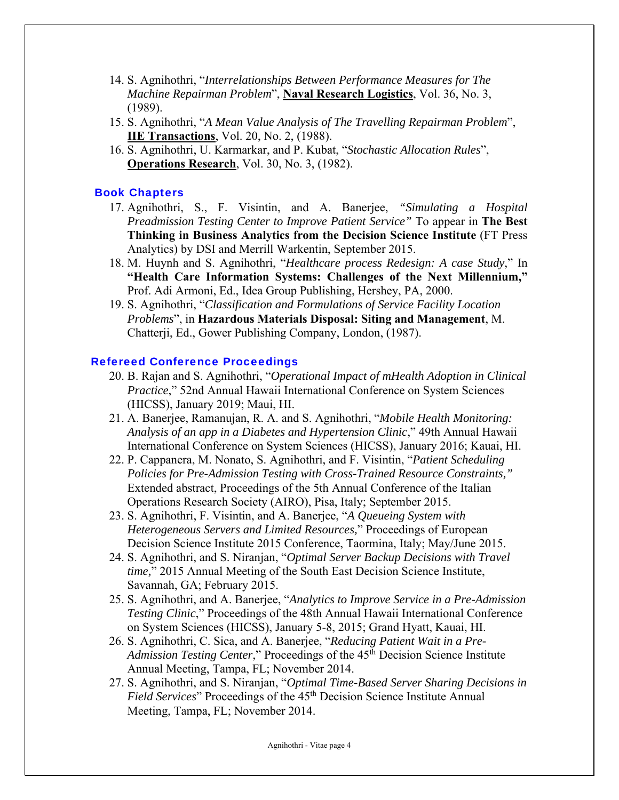- 14. S. Agnihothri, "*Interrelationships Between Performance Measures for The Machine Repairman Problem*", **Naval Research Logistics**, Vol. 36, No. 3, (1989).
- 15. S. Agnihothri, "*A Mean Value Analysis of The Travelling Repairman Problem*", **IIE Transactions**, Vol. 20, No. 2, (1988).
- 16. S. Agnihothri, U. Karmarkar, and P. Kubat, "*Stochastic Allocation Rules*", **Operations Research**, Vol. 30, No. 3, (1982).

## Book Chapters

- 17. Agnihothri, S., F. Visintin, and A. Banerjee, *"Simulating a Hospital Preadmission Testing Center to Improve Patient Service"* To appear in **The Best Thinking in Business Analytics from the Decision Science Institute** (FT Press Analytics) by DSI and Merrill Warkentin, September 2015.
- 18. M. Huynh and S. Agnihothri, "*Healthcare process Redesign: A case Study*," In **"Health Care Information Systems: Challenges of the Next Millennium,"**  Prof. Adi Armoni, Ed., Idea Group Publishing, Hershey, PA, 2000.
- 19. S. Agnihothri, "*Classification and Formulations of Service Facility Location Problems*", in **Hazardous Materials Disposal: Siting and Management**, M. Chatterji, Ed., Gower Publishing Company, London, (1987).

## Refereed Conference Proceedings

- 20. B. Rajan and S. Agnihothri, "*Operational Impact of mHealth Adoption in Clinical Practice*," 52nd Annual Hawaii International Conference on System Sciences (HICSS), January 2019; Maui, HI.
- 21. A. Banerjee, Ramanujan, R. A. and S. Agnihothri, "*Mobile Health Monitoring: Analysis of an app in a Diabetes and Hypertension Clinic*," 49th Annual Hawaii International Conference on System Sciences (HICSS), January 2016; Kauai, HI.
- 22. P. Cappanera, M. Nonato, S. Agnihothri, and F. Visintin, "*Patient Scheduling Policies for Pre-Admission Testing with Cross-Trained Resource Constraints,"* Extended abstract, Proceedings of the 5th Annual Conference of the Italian Operations Research Society (AIRO), Pisa, Italy; September 2015.
- 23. S. Agnihothri, F. Visintin, and A. Banerjee, "*A Queueing System with Heterogeneous Servers and Limited Resources,*" Proceedings of European Decision Science Institute 2015 Conference, Taormina, Italy; May/June 2015.
- 24. S. Agnihothri, and S. Niranjan, "*Optimal Server Backup Decisions with Travel time,*" 2015 Annual Meeting of the South East Decision Science Institute, Savannah, GA; February 2015.
- 25. S. Agnihothri, and A. Banerjee, "*Analytics to Improve Service in a Pre-Admission Testing Clinic*," Proceedings of the 48th Annual Hawaii International Conference on System Sciences (HICSS), January 5-8, 2015; Grand Hyatt, Kauai, HI.
- 26. S. Agnihothri, C. Sica, and A. Banerjee, "*Reducing Patient Wait in a Pre-Admission Testing Center*," Proceedings of the 45<sup>th</sup> Decision Science Institute Annual Meeting, Tampa, FL; November 2014.
- 27. S. Agnihothri, and S. Niranjan, "*Optimal Time-Based Server Sharing Decisions in Field Services*" Proceedings of the 45<sup>th</sup> Decision Science Institute Annual Meeting, Tampa, FL; November 2014.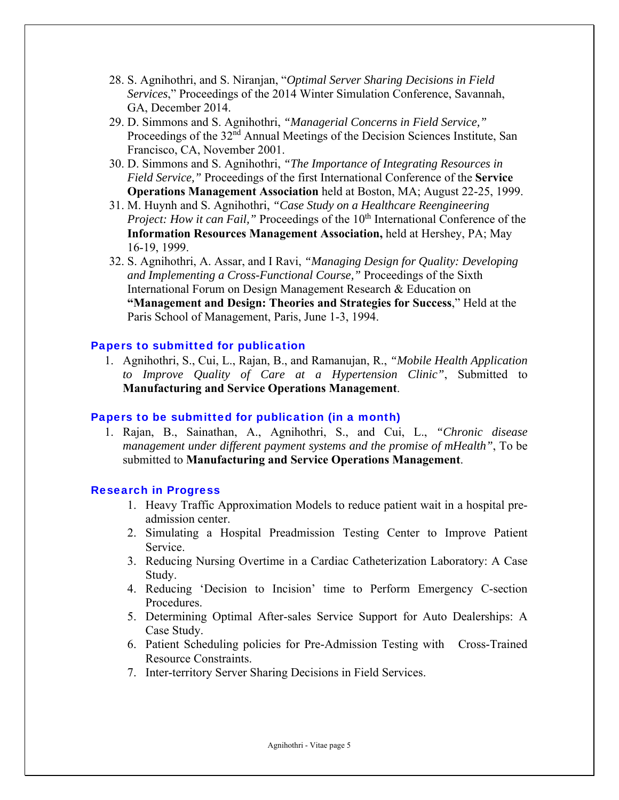- 28. S. Agnihothri, and S. Niranjan, "*Optimal Server Sharing Decisions in Field Services*," Proceedings of the 2014 Winter Simulation Conference, Savannah, GA, December 2014.
- 29. D. Simmons and S. Agnihothri, *"Managerial Concerns in Field Service,"*  Proceedings of the 32<sup>nd</sup> Annual Meetings of the Decision Sciences Institute, San Francisco, CA, November 2001.
- 30. D. Simmons and S. Agnihothri, *"The Importance of Integrating Resources in Field Service,"* Proceedings of the first International Conference of the **Service Operations Management Association** held at Boston, MA; August 22-25, 1999.
- 31. M. Huynh and S. Agnihothri, *"Case Study on a Healthcare Reengineering Project: How it can Fail,*" Proceedings of the 10<sup>th</sup> International Conference of the **Information Resources Management Association,** held at Hershey, PA; May 16-19, 1999.
- 32. S. Agnihothri, A. Assar, and I Ravi, *"Managing Design for Quality: Developing and Implementing a Cross-Functional Course,"* Proceedings of the Sixth International Forum on Design Management Research & Education on **"Management and Design: Theories and Strategies for Success**," Held at the Paris School of Management, Paris, June 1-3, 1994.

#### Papers to submitted for publication

1. Agnihothri, S., Cui, L., Rajan, B., and Ramanujan, R., *"Mobile Health Application to Improve Quality of Care at a Hypertension Clinic"*, Submitted to **Manufacturing and Service Operations Management**.

#### Papers to be submitted for publication (in a month)

1. Rajan, B., Sainathan, A., Agnihothri, S., and Cui, L., *"Chronic disease management under different payment systems and the promise of mHealth"*, To be submitted to **Manufacturing and Service Operations Management**.

#### Research in Progress

- 1. Heavy Traffic Approximation Models to reduce patient wait in a hospital preadmission center.
- 2. Simulating a Hospital Preadmission Testing Center to Improve Patient Service.
- 3. Reducing Nursing Overtime in a Cardiac Catheterization Laboratory: A Case Study.
- 4. Reducing 'Decision to Incision' time to Perform Emergency C-section Procedures.
- 5. Determining Optimal After-sales Service Support for Auto Dealerships: A Case Study.
- 6. Patient Scheduling policies for Pre-Admission Testing with Cross-Trained Resource Constraints.
- 7. Inter-territory Server Sharing Decisions in Field Services.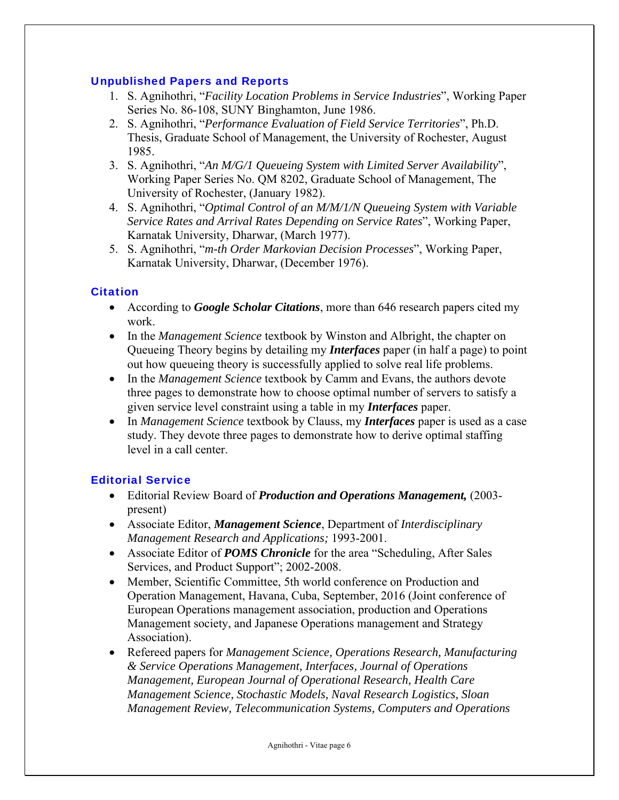## Unpublished Papers and Reports

- 1. S. Agnihothri, "*Facility Location Problems in Service Industries*", Working Paper Series No. 86-108, SUNY Binghamton, June 1986.
- 2. S. Agnihothri, "*Performance Evaluation of Field Service Territories*", Ph.D. Thesis, Graduate School of Management, the University of Rochester, August 1985.
- 3. S. Agnihothri, "*An M/G/1 Queueing System with Limited Server Availability*", Working Paper Series No. QM 8202, Graduate School of Management, The University of Rochester, (January 1982).
- 4. S. Agnihothri, "*Optimal Control of an M/M/1/N Queueing System with Variable Service Rates and Arrival Rates Depending on Service Rates*", Working Paper, Karnatak University, Dharwar, (March 1977).
- 5. S. Agnihothri, "*m-th Order Markovian Decision Processes*", Working Paper, Karnatak University, Dharwar, (December 1976).

# **Citation**

- According to *Google Scholar Citations*, more than 646 research papers cited my work.
- In the *Management Science* textbook by Winston and Albright, the chapter on Queueing Theory begins by detailing my *Interfaces* paper (in half a page) to point out how queueing theory is successfully applied to solve real life problems.
- In the *Management Science* textbook by Camm and Evans, the authors devote three pages to demonstrate how to choose optimal number of servers to satisfy a given service level constraint using a table in my *Interfaces* paper.
- In *Management Science* textbook by Clauss, my *Interfaces* paper is used as a case study. They devote three pages to demonstrate how to derive optimal staffing level in a call center.

# Editorial Service

- Editorial Review Board of *Production and Operations Management,* (2003 present)
- Associate Editor, *Management Science*, Department of *Interdisciplinary Management Research and Applications;* 1993-2001.
- Associate Editor of *POMS Chronicle* for the area "Scheduling, After Sales Services, and Product Support"; 2002-2008.
- Member, Scientific Committee, 5th world conference on Production and Operation Management, Havana, Cuba, September, 2016 (Joint conference of European Operations management association, production and Operations Management society, and Japanese Operations management and Strategy Association).
- Refereed papers for *Management Science, Operations Research, Manufacturing & Service Operations Management, Interfaces, Journal of Operations Management, European Journal of Operational Research, Health Care Management Science, Stochastic Models, Naval Research Logistics, Sloan Management Review, Telecommunication Systems, Computers and Operations*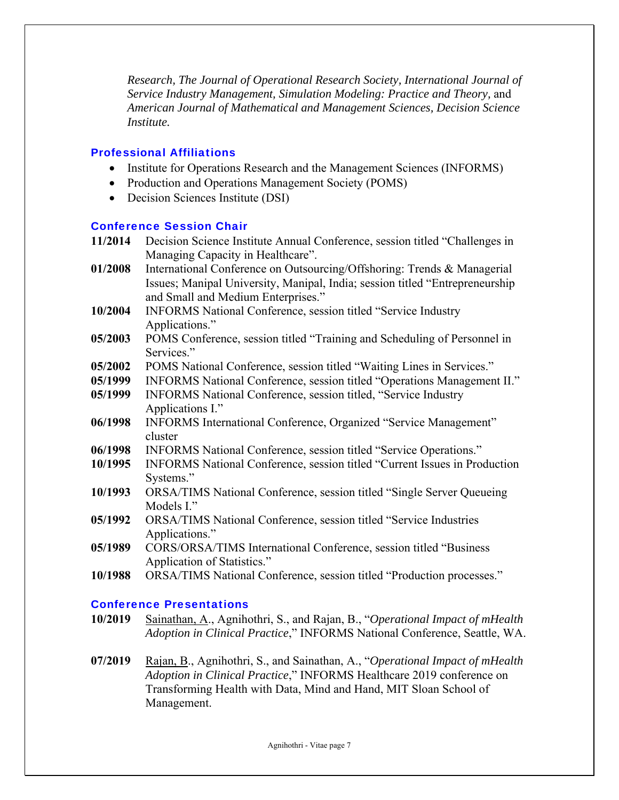*Research, The Journal of Operational Research Society, International Journal of Service Industry Management, Simulation Modeling: Practice and Theory,* and *American Journal of Mathematical and Management Sciences, Decision Science Institute.*

## Professional Affiliations

- Institute for Operations Research and the Management Sciences (INFORMS)
- Production and Operations Management Society (POMS)
- Decision Sciences Institute (DSI)

## Conference Session Chair

**11/2014** Decision Science Institute Annual Conference, session titled "Challenges in Managing Capacity in Healthcare". **01/2008** International Conference on Outsourcing/Offshoring: Trends & Managerial Issues; Manipal University, Manipal, India; session titled "Entrepreneurship and Small and Medium Enterprises." **10/2004** INFORMS National Conference, session titled "Service Industry Applications." **05/2003** POMS Conference, session titled "Training and Scheduling of Personnel in Services." **05/2002** POMS National Conference, session titled "Waiting Lines in Services." **05/1999** INFORMS National Conference, session titled "Operations Management II." **05/1999** INFORMS National Conference, session titled, "Service Industry Applications I." **06/1998** INFORMS International Conference, Organized "Service Management" cluster **06/1998** INFORMS National Conference, session titled "Service Operations." **10/1995** INFORMS National Conference, session titled "Current Issues in Production Systems." **10/1993** ORSA/TIMS National Conference, session titled "Single Server Queueing Models I." **05/1992** ORSA/TIMS National Conference, session titled "Service Industries Applications." **05/1989** CORS/ORSA/TIMS International Conference, session titled "Business Application of Statistics." **10/1988** ORSA/TIMS National Conference, session titled "Production processes."

# Conference Presentations

- **10/2019** Sainathan, A., Agnihothri, S., and Rajan, B., "*Operational Impact of mHealth Adoption in Clinical Practice*," INFORMS National Conference, Seattle, WA.
- **07/2019** Rajan, B., Agnihothri, S., and Sainathan, A., "*Operational Impact of mHealth Adoption in Clinical Practice*," INFORMS Healthcare 2019 conference on Transforming Health with Data, Mind and Hand, MIT Sloan School of Management.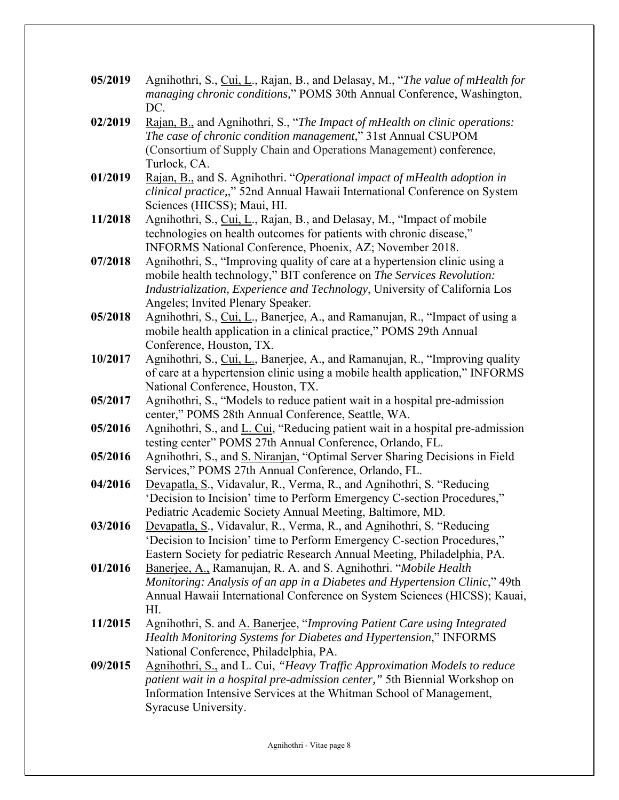- **05/2019** Agnihothri, S., Cui, L., Rajan, B., and Delasay, M., "*The value of mHealth for managing chronic conditions,*" POMS 30th Annual Conference, Washington, DC.
- **02/2019** Rajan, B., and Agnihothri, S., "*The Impact of mHealth on clinic operations: The case of chronic condition management*," 31st Annual CSUPOM (Consortium of Supply Chain and Operations Management) conference, Turlock, CA.
- **01/2019** Rajan, B., and S. Agnihothri. "*Operational impact of mHealth adoption in clinical practice,*," 52nd Annual Hawaii International Conference on System Sciences (HICSS); Maui, HI.
- **11/2018** Agnihothri, S., Cui, L., Rajan, B., and Delasay, M., "Impact of mobile technologies on health outcomes for patients with chronic disease," INFORMS National Conference, Phoenix, AZ; November 2018.
- **07/2018** Agnihothri, S., "Improving quality of care at a hypertension clinic using a mobile health technology," BIT conference on *The Services Revolution: Industrialization, Experience and Technology*, University of California Los Angeles; Invited Plenary Speaker.
- **05/2018** Agnihothri, S., Cui, L., Banerjee, A., and Ramanujan, R., "Impact of using a mobile health application in a clinical practice," POMS 29th Annual Conference, Houston, TX.
- **10/2017** Agnihothri, S., Cui, L., Banerjee, A., and Ramanujan, R., "Improving quality of care at a hypertension clinic using a mobile health application," INFORMS National Conference, Houston, TX.
- **05/2017** Agnihothri, S., "Models to reduce patient wait in a hospital pre-admission center," POMS 28th Annual Conference, Seattle, WA.
- **05/2016** Agnihothri, S., and L. Cui, "Reducing patient wait in a hospital pre-admission testing center" POMS 27th Annual Conference, Orlando, FL.
- **05/2016** Agnihothri, S., and S. Niranjan, "Optimal Server Sharing Decisions in Field Services," POMS 27th Annual Conference, Orlando, FL.
- **04/2016** Devapatla, S., Vidavalur, R., Verma, R., and Agnihothri, S. "Reducing 'Decision to Incision' time to Perform Emergency C-section Procedures," Pediatric Academic Society Annual Meeting, Baltimore, MD.
- **03/2016** Devapatla, S., Vidavalur, R., Verma, R., and Agnihothri, S. "Reducing 'Decision to Incision' time to Perform Emergency C-section Procedures," Eastern Society for pediatric Research Annual Meeting, Philadelphia, PA.
- **01/2016** Banerjee, A., Ramanujan, R. A. and S. Agnihothri. "*Mobile Health Monitoring: Analysis of an app in a Diabetes and Hypertension Clinic*," 49th Annual Hawaii International Conference on System Sciences (HICSS); Kauai, HI.
- **11/2015** Agnihothri, S. and A. Banerjee, "*Improving Patient Care using Integrated Health Monitoring Systems for Diabetes and Hypertension*," INFORMS National Conference, Philadelphia, PA.
- **09/2015** Agnihothri, S., and L. Cui, *"Heavy Traffic Approximation Models to reduce patient wait in a hospital pre-admission center,"* 5th Biennial Workshop on Information Intensive Services at the Whitman School of Management, Syracuse University.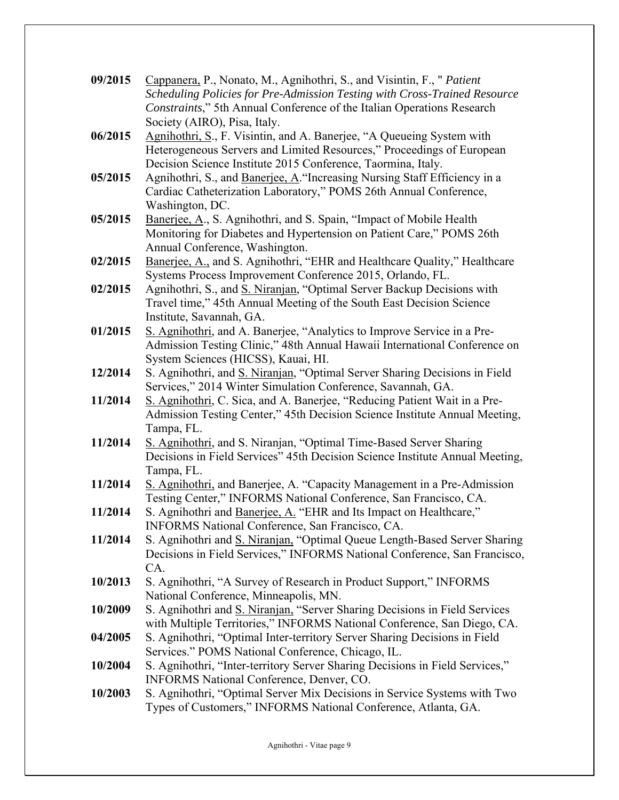| 09/2015 | Cappanera, P., Nonato, M., Agnihothri, S., and Visintin, F., " Patient                                                                              |
|---------|-----------------------------------------------------------------------------------------------------------------------------------------------------|
|         | Scheduling Policies for Pre-Admission Testing with Cross-Trained Resource<br>Constraints," 5th Annual Conference of the Italian Operations Research |
|         | Society (AIRO), Pisa, Italy.                                                                                                                        |
| 06/2015 | Agnihothri, S., F. Visintin, and A. Banerjee, "A Queueing System with                                                                               |
|         | Heterogeneous Servers and Limited Resources," Proceedings of European                                                                               |
|         | Decision Science Institute 2015 Conference, Taormina, Italy.                                                                                        |
| 05/2015 | Agnihothri, S., and Banerjee, A. "Increasing Nursing Staff Efficiency in a<br>Cardiac Catheterization Laboratory," POMS 26th Annual Conference,     |
|         | Washington, DC.                                                                                                                                     |
| 05/2015 | Banerjee, A., S. Agnihothri, and S. Spain, "Impact of Mobile Health                                                                                 |
|         | Monitoring for Diabetes and Hypertension on Patient Care," POMS 26th                                                                                |
|         | Annual Conference, Washington.                                                                                                                      |
| 02/2015 | Banerjee, A., and S. Agnihothri, "EHR and Healthcare Quality," Healthcare                                                                           |
|         | Systems Process Improvement Conference 2015, Orlando, FL.                                                                                           |
| 02/2015 | Agnihothri, S., and S. Niranjan, "Optimal Server Backup Decisions with<br>Travel time," 45th Annual Meeting of the South East Decision Science      |
|         | Institute, Savannah, GA.                                                                                                                            |
| 01/2015 | S. Agnihothri, and A. Banerjee, "Analytics to Improve Service in a Pre-                                                                             |
|         | Admission Testing Clinic," 48th Annual Hawaii International Conference on                                                                           |
|         | System Sciences (HICSS), Kauai, HI.                                                                                                                 |
| 12/2014 | S. Agnihothri, and S. Niranjan, "Optimal Server Sharing Decisions in Field                                                                          |
| 11/2014 | Services," 2014 Winter Simulation Conference, Savannah, GA.<br>S. Agnihothri, C. Sica, and A. Banerjee, "Reducing Patient Wait in a Pre-            |
|         | Admission Testing Center," 45th Decision Science Institute Annual Meeting,                                                                          |
|         | Tampa, FL.                                                                                                                                          |
| 11/2014 | S. Agnihothri, and S. Niranjan, "Optimal Time-Based Server Sharing                                                                                  |
|         | Decisions in Field Services" 45th Decision Science Institute Annual Meeting,                                                                        |
|         | Tampa, FL.                                                                                                                                          |
| 11/2014 | S. Agnihothri, and Banerjee, A. "Capacity Management in a Pre-Admission<br>Testing Center," INFORMS National Conference, San Francisco, CA.         |
| 11/2014 | S. Agnihothri and Banerjee, A. "EHR and Its Impact on Healthcare,"                                                                                  |
|         | INFORMS National Conference, San Francisco, CA.                                                                                                     |
| 11/2014 | S. Agnihothri and S. Niranjan, "Optimal Queue Length-Based Server Sharing                                                                           |
|         | Decisions in Field Services," INFORMS National Conference, San Francisco,                                                                           |
|         | CA.                                                                                                                                                 |
| 10/2013 | S. Agnihothri, "A Survey of Research in Product Support," INFORMS<br>National Conference, Minneapolis, MN.                                          |
| 10/2009 | S. Agnihothri and S. Niranjan, "Server Sharing Decisions in Field Services                                                                          |
|         | with Multiple Territories," INFORMS National Conference, San Diego, CA.                                                                             |
| 04/2005 | S. Agnihothri, "Optimal Inter-territory Server Sharing Decisions in Field                                                                           |
|         | Services." POMS National Conference, Chicago, IL.                                                                                                   |
| 10/2004 | S. Agnihothri, "Inter-territory Server Sharing Decisions in Field Services,"                                                                        |
| 10/2003 | INFORMS National Conference, Denver, CO.<br>S. Agnihothri, "Optimal Server Mix Decisions in Service Systems with Two                                |
|         | Types of Customers," INFORMS National Conference, Atlanta, GA.                                                                                      |
|         |                                                                                                                                                     |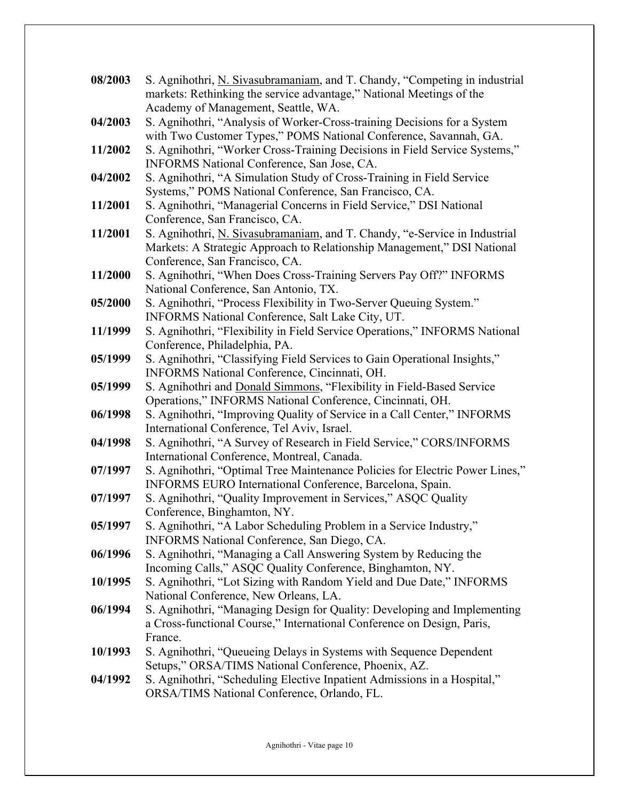| 08/2003 | S. Agnihothri, N. Sivasubramaniam, and T. Chandy, "Competing in industrial                                 |
|---------|------------------------------------------------------------------------------------------------------------|
|         | markets: Rethinking the service advantage," National Meetings of the                                       |
|         | Academy of Management, Seattle, WA.                                                                        |
| 04/2003 | S. Agnihothri, "Analysis of Worker-Cross-training Decisions for a System                                   |
|         | with Two Customer Types," POMS National Conference, Savannah, GA.                                          |
| 11/2002 | S. Agnihothri, "Worker Cross-Training Decisions in Field Service Systems,"                                 |
|         | INFORMS National Conference, San Jose, CA.                                                                 |
| 04/2002 | S. Agnihothri, "A Simulation Study of Cross-Training in Field Service                                      |
|         | Systems," POMS National Conference, San Francisco, CA.                                                     |
| 11/2001 | S. Agnihothri, "Managerial Concerns in Field Service," DSI National                                        |
|         | Conference, San Francisco, CA.                                                                             |
| 11/2001 | S. Agnihothri, <i>N. Sivasubramaniam</i> , and T. Chandy, "e-Service in Industrial                         |
|         | Markets: A Strategic Approach to Relationship Management," DSI National                                    |
|         | Conference, San Francisco, CA.                                                                             |
| 11/2000 | S. Agnihothri, "When Does Cross-Training Servers Pay Off?" INFORMS                                         |
|         | National Conference, San Antonio, TX.                                                                      |
| 05/2000 | S. Agnihothri, "Process Flexibility in Two-Server Queuing System."                                         |
|         | INFORMS National Conference, Salt Lake City, UT.                                                           |
| 11/1999 | S. Agnihothri, "Flexibility in Field Service Operations," INFORMS National                                 |
| 05/1999 | Conference, Philadelphia, PA.<br>S. Agnihothri, "Classifying Field Services to Gain Operational Insights," |
|         | INFORMS National Conference, Cincinnati, OH.                                                               |
| 05/1999 | S. Agnihothri and Donald Simmons, "Flexibility in Field-Based Service                                      |
|         | Operations," INFORMS National Conference, Cincinnati, OH.                                                  |
| 06/1998 | S. Agnihothri, "Improving Quality of Service in a Call Center," INFORMS                                    |
|         | International Conference, Tel Aviv, Israel.                                                                |
| 04/1998 | S. Agnihothri, "A Survey of Research in Field Service," CORS/INFORMS                                       |
|         | International Conference, Montreal, Canada.                                                                |
| 07/1997 | S. Agnihothri, "Optimal Tree Maintenance Policies for Electric Power Lines,"                               |
|         | INFORMS EURO International Conference, Barcelona, Spain.                                                   |
| 07/1997 | S. Agnihothri, "Quality Improvement in Services," ASQC Quality                                             |
|         | Conference, Binghamton, NY.                                                                                |
| 05/1997 | S. Agnihothri, "A Labor Scheduling Problem in a Service Industry,"                                         |
|         | INFORMS National Conference, San Diego, CA.                                                                |
| 06/1996 | S. Agnihothri, "Managing a Call Answering System by Reducing the                                           |
|         | Incoming Calls," ASQC Quality Conference, Binghamton, NY.                                                  |
| 10/1995 | S. Agnihothri, "Lot Sizing with Random Yield and Due Date," INFORMS                                        |
|         | National Conference, New Orleans, LA.                                                                      |
| 06/1994 | S. Agnihothri, "Managing Design for Quality: Developing and Implementing                                   |
|         | a Cross-functional Course," International Conference on Design, Paris,                                     |
|         | France.                                                                                                    |
| 10/1993 | S. Agnihothri, "Queueing Delays in Systems with Sequence Dependent                                         |
|         | Setups," ORSA/TIMS National Conference, Phoenix, AZ.                                                       |
| 04/1992 | S. Agnihothri, "Scheduling Elective Inpatient Admissions in a Hospital,"                                   |
|         | ORSA/TIMS National Conference, Orlando, FL.                                                                |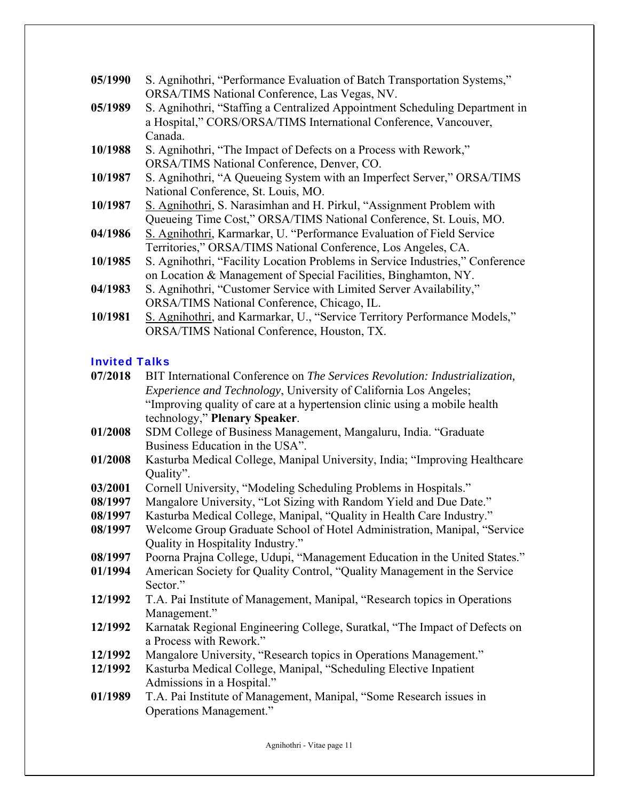| 05/1990 | S. Agnihothri, "Performance Evaluation of Batch Transportation Systems,"<br>ORSA/TIMS National Conference, Las Vegas, NV.                                  |
|---------|------------------------------------------------------------------------------------------------------------------------------------------------------------|
| 05/1989 | S. Agnihothri, "Staffing a Centralized Appointment Scheduling Department in<br>a Hospital," CORS/ORSA/TIMS International Conference, Vancouver,<br>Canada. |
| 10/1988 | S. Agnihothri, "The Impact of Defects on a Process with Rework,"                                                                                           |
|         | ORSA/TIMS National Conference, Denver, CO.                                                                                                                 |
| 10/1987 | S. Agnihothri, "A Queueing System with an Imperfect Server," ORSA/TIMS                                                                                     |
|         | National Conference, St. Louis, MO.                                                                                                                        |
| 10/1987 | S. Agnihothri, S. Narasimhan and H. Pirkul, "Assignment Problem with                                                                                       |
|         | Queueing Time Cost," ORSA/TIMS National Conference, St. Louis, MO.                                                                                         |
| 04/1986 | S. Agnihothri, Karmarkar, U. "Performance Evaluation of Field Service                                                                                      |
|         | Territories," ORSA/TIMS National Conference, Los Angeles, CA.                                                                                              |
| 10/1985 | S. Agnihothri, "Facility Location Problems in Service Industries," Conference                                                                              |
|         | on Location & Management of Special Facilities, Binghamton, NY.                                                                                            |
| 04/1983 | S. Agnihothri, "Customer Service with Limited Server Availability,"                                                                                        |
|         | ORSA/TIMS National Conference, Chicago, IL.                                                                                                                |
|         |                                                                                                                                                            |

10/1981 S. Agnihothri, and Karmarkar, U., "Service Territory Performance Models," ORSA/TIMS National Conference, Houston, TX.

# Invited Talks

| 07/2018 | BIT International Conference on The Services Revolution: Industrialization, |
|---------|-----------------------------------------------------------------------------|
|         | Experience and Technology, University of California Los Angeles;            |
|         | "Improving quality of care at a hypertension clinic using a mobile health   |
|         | technology," Plenary Speaker.                                               |
| 01/2008 | SDM College of Business Management, Mangaluru, India. "Graduate             |
|         | Business Education in the USA".                                             |
| 01/2008 | Kasturba Medical College, Manipal University, India; "Improving Healthcare  |
|         | Quality".                                                                   |
| 03/2001 | Cornell University, "Modeling Scheduling Problems in Hospitals."            |
| 08/1997 | Mangalore University, "Lot Sizing with Random Yield and Due Date."          |
| 08/1997 | Kasturba Medical College, Manipal, "Quality in Health Care Industry."       |
| 08/1997 | Welcome Group Graduate School of Hotel Administration, Manipal, "Service    |
|         | Quality in Hospitality Industry."                                           |
| 08/1997 | Poorna Prajna College, Udupi, "Management Education in the United States."  |
| 01/1994 | American Society for Quality Control, "Quality Management in the Service    |
|         | Sector."                                                                    |
| 12/1992 | T.A. Pai Institute of Management, Manipal, "Research topics in Operations"  |
|         | Management."                                                                |
| 12/1992 | Karnatak Regional Engineering College, Suratkal, "The Impact of Defects on  |
|         | a Process with Rework."                                                     |
| 12/1992 | Mangalore University, "Research topics in Operations Management."           |
| 12/1992 | Kasturba Medical College Manipal "Scheduling Flective Inpatient             |

- **12/1992** Kasturba Medical College, Manipal, "Scheduling Elective Inpatient Admissions in a Hospital."
- **01/1989** T.A. Pai Institute of Management, Manipal, "Some Research issues in Operations Management."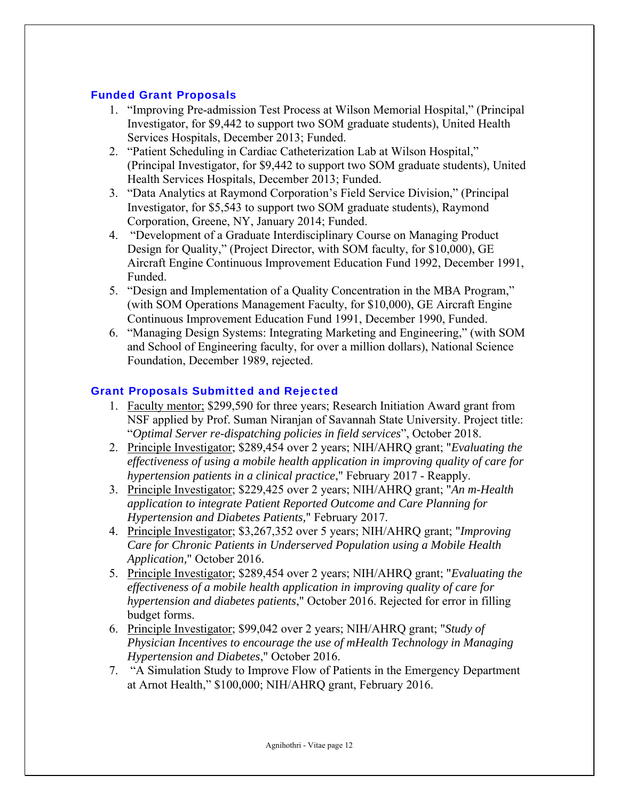## Funded Grant Proposals

- 1. "Improving Pre-admission Test Process at Wilson Memorial Hospital," (Principal Investigator, for \$9,442 to support two SOM graduate students), United Health Services Hospitals, December 2013; Funded.
- 2. "Patient Scheduling in Cardiac Catheterization Lab at Wilson Hospital," (Principal Investigator, for \$9,442 to support two SOM graduate students), United Health Services Hospitals, December 2013; Funded.
- 3. "Data Analytics at Raymond Corporation's Field Service Division," (Principal Investigator, for \$5,543 to support two SOM graduate students), Raymond Corporation, Greene, NY, January 2014; Funded.
- 4. "Development of a Graduate Interdisciplinary Course on Managing Product Design for Quality," (Project Director, with SOM faculty, for \$10,000), GE Aircraft Engine Continuous Improvement Education Fund 1992, December 1991, Funded.
- 5. "Design and Implementation of a Quality Concentration in the MBA Program," (with SOM Operations Management Faculty, for \$10,000), GE Aircraft Engine Continuous Improvement Education Fund 1991, December 1990, Funded.
- 6. "Managing Design Systems: Integrating Marketing and Engineering," (with SOM and School of Engineering faculty, for over a million dollars), National Science Foundation, December 1989, rejected.

## Grant Proposals Submitted and Rejected

- 1. Faculty mentor; \$299,590 for three years; Research Initiation Award grant from NSF applied by Prof. Suman Niranjan of Savannah State University. Project title: "*Optimal Server re-dispatching policies in field services*", October 2018.
- 2. Principle Investigator; \$289,454 over 2 years; NIH/AHRQ grant; "*Evaluating the effectiveness of using a mobile health application in improving quality of care for hypertension patients in a clinical practice*," February 2017 - Reapply.
- 3. Principle Investigator; \$229,425 over 2 years; NIH/AHRQ grant; "*An m-Health application to integrate Patient Reported Outcome and Care Planning for Hypertension and Diabetes Patients,*" February 2017.
- 4. Principle Investigator; \$3,267,352 over 5 years; NIH/AHRQ grant; "*Improving Care for Chronic Patients in Underserved Population using a Mobile Health Application,*" October 2016.
- 5. Principle Investigator; \$289,454 over 2 years; NIH/AHRQ grant; "*Evaluating the effectiveness of a mobile health application in improving quality of care for hypertension and diabetes patients*," October 2016. Rejected for error in filling budget forms.
- 6. Principle Investigator; \$99,042 over 2 years; NIH/AHRQ grant; "*Study of Physician Incentives to encourage the use of mHealth Technology in Managing Hypertension and Diabetes*," October 2016.
- 7. "A Simulation Study to Improve Flow of Patients in the Emergency Department at Arnot Health," \$100,000; NIH/AHRQ grant, February 2016.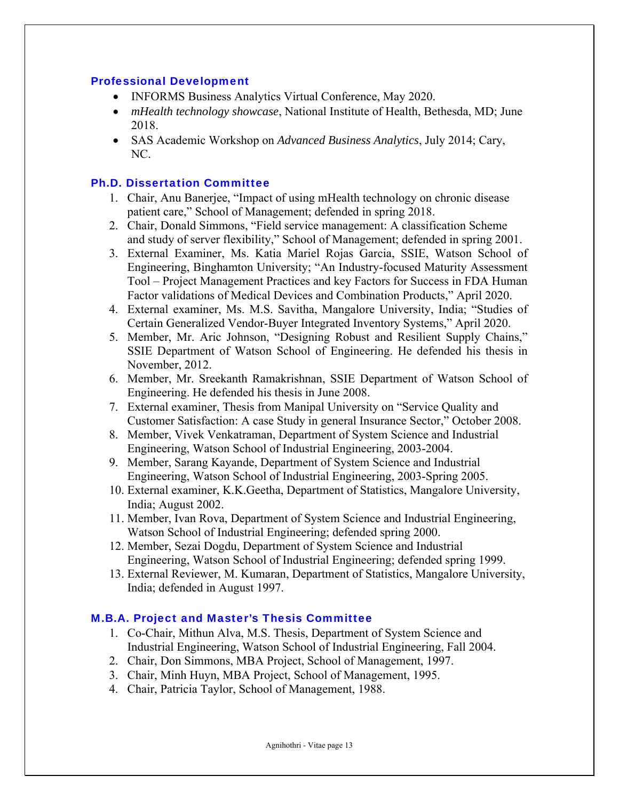#### Professional Development

- INFORMS Business Analytics Virtual Conference, May 2020.
- *mHealth technology showcase*, National Institute of Health, Bethesda, MD; June 2018.
- SAS Academic Workshop on *Advanced Business Analytics*, July 2014; Cary, NC.

## Ph.D. Dissertation Committee

- 1. Chair, Anu Banerjee, "Impact of using mHealth technology on chronic disease patient care," School of Management; defended in spring 2018.
- 2. Chair, Donald Simmons, "Field service management: A classification Scheme and study of server flexibility," School of Management; defended in spring 2001.
- 3. External Examiner, Ms. Katia Mariel Rojas Garcia, SSIE, Watson School of Engineering, Binghamton University; "An Industry-focused Maturity Assessment Tool – Project Management Practices and key Factors for Success in FDA Human Factor validations of Medical Devices and Combination Products," April 2020.
- 4. External examiner, Ms. M.S. Savitha, Mangalore University, India; "Studies of Certain Generalized Vendor-Buyer Integrated Inventory Systems," April 2020.
- 5. Member, Mr. Aric Johnson, "Designing Robust and Resilient Supply Chains," SSIE Department of Watson School of Engineering. He defended his thesis in November, 2012.
- 6. Member, Mr. Sreekanth Ramakrishnan, SSIE Department of Watson School of Engineering. He defended his thesis in June 2008.
- 7. External examiner, Thesis from Manipal University on "Service Quality and Customer Satisfaction: A case Study in general Insurance Sector," October 2008.
- 8. Member, Vivek Venkatraman, Department of System Science and Industrial Engineering, Watson School of Industrial Engineering, 2003-2004.
- 9. Member, Sarang Kayande, Department of System Science and Industrial Engineering, Watson School of Industrial Engineering, 2003-Spring 2005.
- 10. External examiner, K.K.Geetha, Department of Statistics, Mangalore University, India; August 2002.
- 11. Member, Ivan Rova, Department of System Science and Industrial Engineering, Watson School of Industrial Engineering; defended spring 2000.
- 12. Member, Sezai Dogdu, Department of System Science and Industrial Engineering, Watson School of Industrial Engineering; defended spring 1999.
- 13. External Reviewer, M. Kumaran, Department of Statistics, Mangalore University, India; defended in August 1997.

## M.B.A. Project and Master's Thesis Committee

- 1. Co-Chair, Mithun Alva, M.S. Thesis, Department of System Science and Industrial Engineering, Watson School of Industrial Engineering, Fall 2004.
- 2. Chair, Don Simmons, MBA Project, School of Management, 1997.
- 3. Chair, Minh Huyn, MBA Project, School of Management, 1995.
- 4. Chair, Patricia Taylor, School of Management, 1988.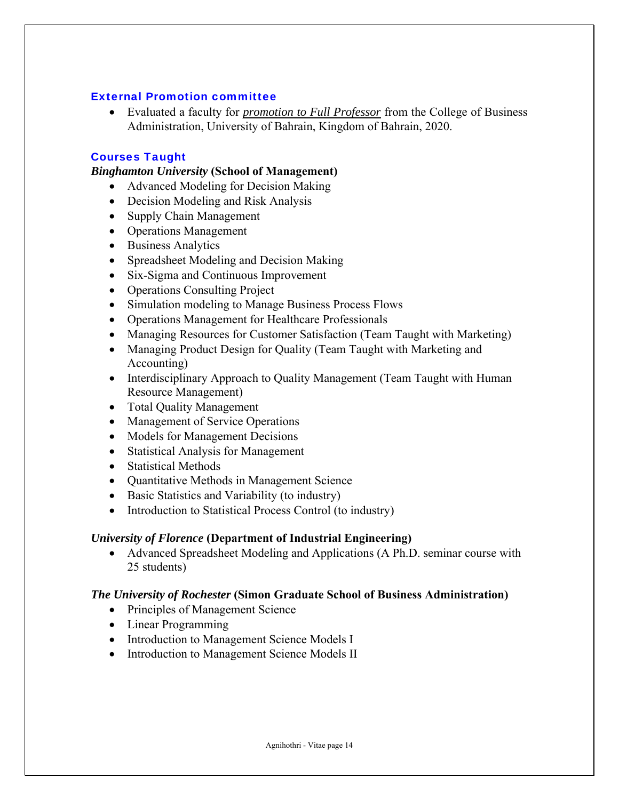## External Promotion committee

 Evaluated a faculty for *promotion to Full Professor* from the College of Business Administration, University of Bahrain, Kingdom of Bahrain, 2020.

## Courses Taught

## *Binghamton University* **(School of Management)**

- Advanced Modeling for Decision Making
- Decision Modeling and Risk Analysis
- Supply Chain Management
- Operations Management
- Business Analytics
- Spreadsheet Modeling and Decision Making
- Six-Sigma and Continuous Improvement
- Operations Consulting Project
- Simulation modeling to Manage Business Process Flows
- Operations Management for Healthcare Professionals
- Managing Resources for Customer Satisfaction (Team Taught with Marketing)
- Managing Product Design for Quality (Team Taught with Marketing and Accounting)
- Interdisciplinary Approach to Quality Management (Team Taught with Human Resource Management)
- Total Quality Management
- Management of Service Operations
- Models for Management Decisions
- Statistical Analysis for Management
- Statistical Methods
- Quantitative Methods in Management Science
- Basic Statistics and Variability (to industry)
- Introduction to Statistical Process Control (to industry)

## *University of Florence* **(Department of Industrial Engineering)**

 Advanced Spreadsheet Modeling and Applications (A Ph.D. seminar course with 25 students)

## *The University of Rochester* **(Simon Graduate School of Business Administration)**

- Principles of Management Science
- Linear Programming
- Introduction to Management Science Models I
- Introduction to Management Science Models II